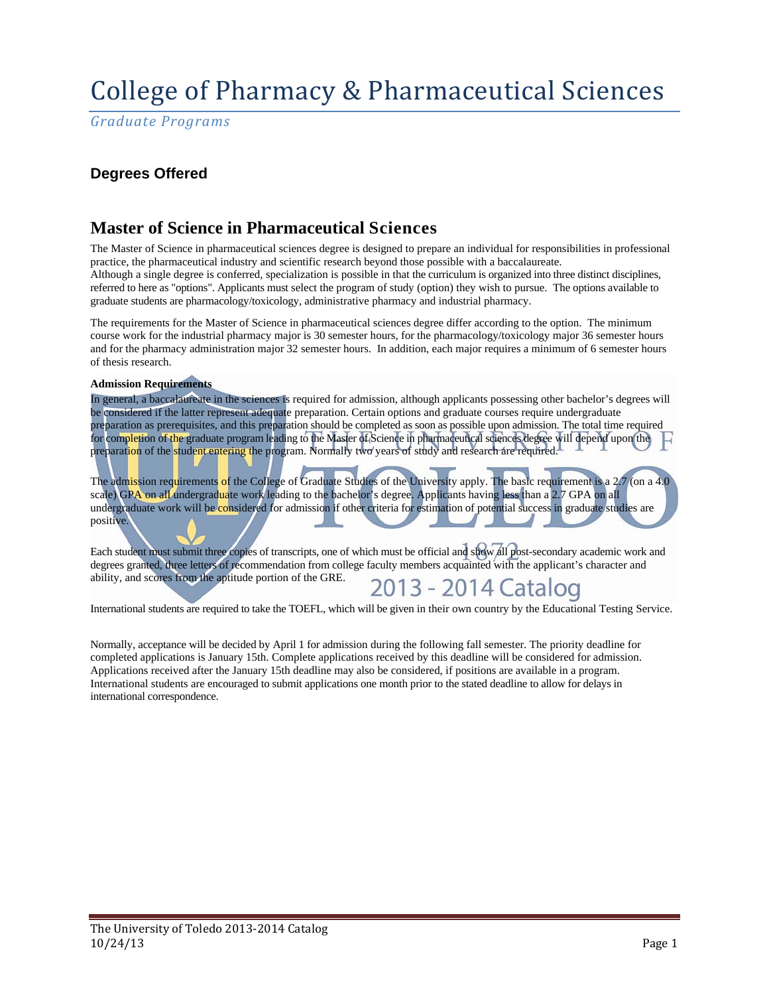# College of Pharmacy & Pharmaceutical Sciences

*Graduate Programs*

## **Degrees Offered**

## **Master of Science in Pharmaceutical Sciences**

The Master of Science in pharmaceutical sciences degree is designed to prepare an individual for responsibilities in professional practice, the pharmaceutical industry and scientific research beyond those possible with a baccalaureate. Although a single degree is conferred, specialization is possible in that the curriculum is organized into three distinct disciplines, referred to here as "options". Applicants must select the program of study (option) they wish to pursue. The options available to graduate students are pharmacology/toxicology, administrative pharmacy and industrial pharmacy.

The requirements for the Master of Science in pharmaceutical sciences degree differ according to the option. The minimum course work for the industrial pharmacy major is 30 semester hours, for the pharmacology/toxicology major 36 semester hours and for the pharmacy administration major 32 semester hours. In addition, each major requires a minimum of 6 semester hours of thesis research.

### **Admission Requirements**

In general, a baccalaureate in the sciences is required for admission, although applicants possessing other bachelor's degrees will be considered if the latter represent adequate preparation. Certain options and graduate courses require undergraduate preparation as prerequisites, and this preparation should be completed as soon as possible upon admission. The total time required for completion of the graduate program leading to the Master of Science in pharmaceutical sciences degree will depend upon the preparation of the student entering the program. Normally two years of study and research are required.

The admission requirements of the College of Graduate Studies of the University apply. The basic requirement is a 2.7 (on a 4.0) scale) GPA on all undergraduate work leading to the bachelor's degree. Applicants having less than a 2.7 GPA on all undergraduate work will be considered for admission if other criteria for estimation of potential success in graduate studies are positive.

Each student must submit three copies of transcripts, one of which must be official and show all post-secondary academic work and degrees granted, three letters of recommendation from college faculty members acquainted with the applicant's character and ability, and scores from the aptitude portion of the GRE.

# 2013 - 2014 Catalog

International students are required to take the TOEFL, which will be given in their own country by the Educational Testing Service.

Normally, acceptance will be decided by April 1 for admission during the following fall semester. The priority deadline for completed applications is January 15th. Complete applications received by this deadline will be considered for admission. Applications received after the January 15th deadline may also be considered, if positions are available in a program. International students are encouraged to submit applications one month prior to the stated deadline to allow for delays in international correspondence.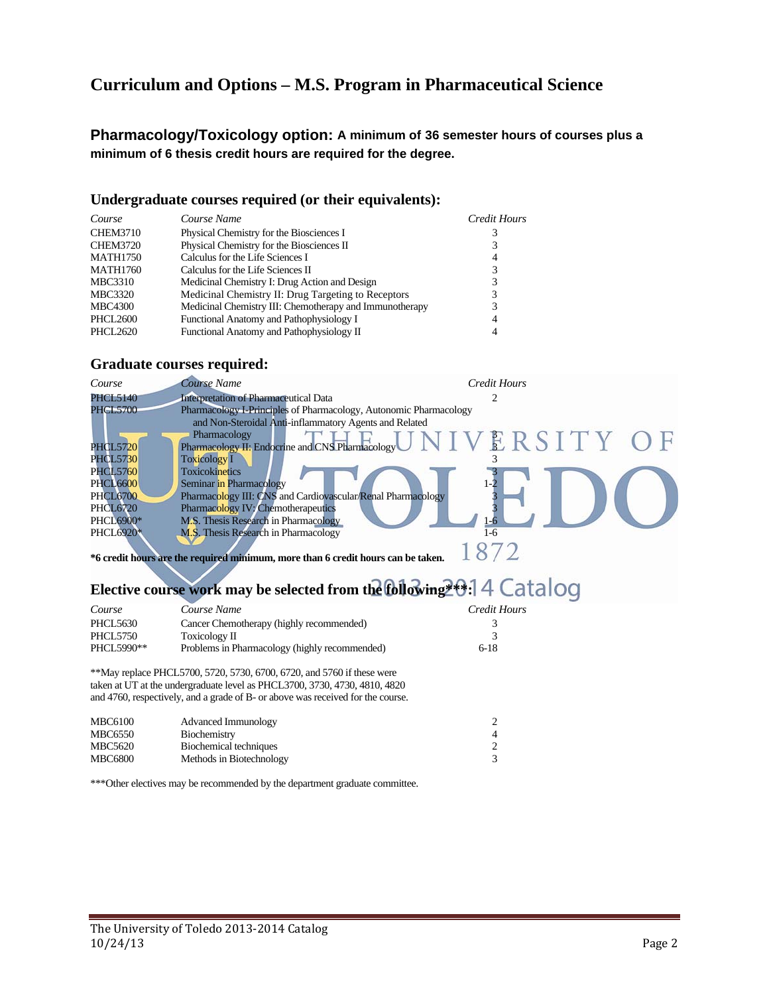## **Curriculum and Options – M.S. Program in Pharmaceutical Science**

**Pharmacology/Toxicology option: A minimum of 36 semester hours of courses plus a minimum of 6 thesis credit hours are required for the degree.** 

### **Undergraduate courses required (or their equivalents):**

| Course          | Course Name                                             | Credit Hours |
|-----------------|---------------------------------------------------------|--------------|
| <b>CHEM3710</b> | Physical Chemistry for the Biosciences I                |              |
| <b>CHEM3720</b> | Physical Chemistry for the Biosciences II               |              |
| <b>MATH1750</b> | Calculus for the Life Sciences I                        | 4            |
| <b>MATH1760</b> | Calculus for the Life Sciences II                       |              |
| MBC3310         | Medicinal Chemistry I: Drug Action and Design           |              |
| <b>MBC3320</b>  | Medicinal Chemistry II: Drug Targeting to Receptors     |              |
| <b>MBC4300</b>  | Medicinal Chemistry III: Chemotherapy and Immunotherapy |              |
| PHCL2600        | Functional Anatomy and Pathophysiology I                | 4            |
| PHCL2620        | Functional Anatomy and Pathophysiology II               |              |

### **Graduate courses required:**

| Course           | Course Name                                                       | Credit Hours |
|------------------|-------------------------------------------------------------------|--------------|
| <b>PHCL5140</b>  | <b>Interpretation of Pharmaceutical Data</b>                      |              |
| <b>PHCL5700</b>  | Pharmacology I-Principles of Pharmacology, Autonomic Pharmacology |              |
|                  | and Non-Steroidal Anti-inflammatory Agents and Related            |              |
|                  | Pharmacology                                                      | NIVERSITY    |
| <b>PHCL5720</b>  | Pharmacology II: Endocrine and CNS Pharmacology                   |              |
| <b>PHCL5730</b>  | <b>Toxicology I</b>                                               |              |
| <b>PHCL5760</b>  | Toxicokinetics                                                    |              |
| <b>PHCL6600</b>  | Seminar in Pharmacology                                           |              |
| <b>PHCL6700</b>  | Pharmacology III: CNS and Cardiovascular/Renal Pharmacology       |              |
| <b>PHCL6720</b>  | Pharmacology IV: Chemotherapeutics                                |              |
| <b>PHCL6900*</b> | M.S. Thesis Research in Pharmacology                              |              |
| PHCL6920*        | M.S. Thesis Research in Pharmacology                              | 1-6          |
|                  |                                                                   |              |

**\*6 credit hours are the required minimum, more than 6 credit hours can be taken.** 

# **Elective course work may be selected from the following \*0.14 Catalog**

| Course          | Course Name                                   | Credit Hours |
|-----------------|-----------------------------------------------|--------------|
| <b>PHCL5630</b> | Cancer Chemotherapy (highly recommended)      |              |
| <b>PHCL5750</b> | Toxicology II                                 |              |
| PHCL5990**      | Problems in Pharmacology (highly recommended) | $6-18$       |

\*\*May replace PHCL5700, 5720, 5730, 6700, 6720, and 5760 if these were taken at UT at the undergraduate level as PHCL3700, 3730, 4730, 4810, 4820 and 4760, respectively, and a grade of B- or above was received for the course.

| <b>MBC6100</b> | Advanced Immunology      |   |
|----------------|--------------------------|---|
| <b>MBC6550</b> | Biochemistry             | 4 |
| MBC5620        | Biochemical techniques   |   |
| <b>MBC6800</b> | Methods in Biotechnology | 3 |

\*\*\*Other electives may be recommended by the department graduate committee.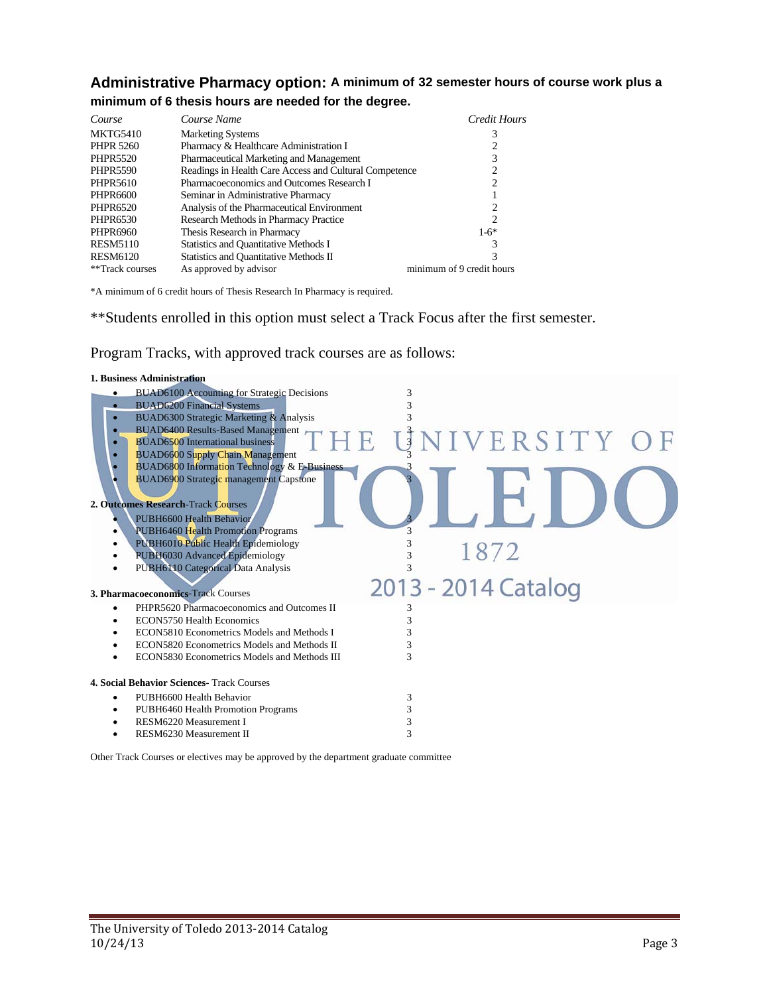## **Administrative Pharmacy option: A minimum of 32 semester hours of course work plus a minimum of 6 thesis hours are needed for the degree.**

| Course           | Course Name                                            | Credit Hours              |
|------------------|--------------------------------------------------------|---------------------------|
| MKTG5410         | <b>Marketing Systems</b>                               | 3                         |
| <b>PHPR 5260</b> | Pharmacy & Healthcare Administration I                 |                           |
| <b>PHPR5520</b>  | Pharmaceutical Marketing and Management                | 3                         |
| <b>PHPR5590</b>  | Readings in Health Care Access and Cultural Competence |                           |
| <b>PHPR5610</b>  | Pharmacoeconomics and Outcomes Research I              | 2                         |
| <b>PHPR6600</b>  | Seminar in Administrative Pharmacy                     |                           |
| PHPR6520         | Analysis of the Pharmaceutical Environment             | 2                         |
| PHPR6530         | Research Methods in Pharmacy Practice                  | 2                         |
| PHPR6960         | Thesis Research in Pharmacy                            | $1-6*$                    |
| <b>RESM5110</b>  | Statistics and Quantitative Methods I                  | 3                         |
| <b>RESM6120</b>  | Statistics and Quantitative Methods II                 | 3                         |
| **Track courses  | As approved by advisor                                 | minimum of 9 credit hours |

\*A minimum of 6 credit hours of Thesis Research In Pharmacy is required.

\*\*Students enrolled in this option must select a Track Focus after the first semester.

Program Tracks, with approved track courses are as follows:

| 3                   |
|---------------------|
|                     |
|                     |
|                     |
| UNIVERSITY OF       |
|                     |
|                     |
|                     |
|                     |
|                     |
|                     |
| 1872                |
|                     |
|                     |
| 2013 - 2014 Catalog |
|                     |
|                     |
|                     |
|                     |
|                     |
|                     |
|                     |
| 3                   |
| 3                   |
| 3                   |
| 3                   |
|                     |

Other Track Courses or electives may be approved by the department graduate committee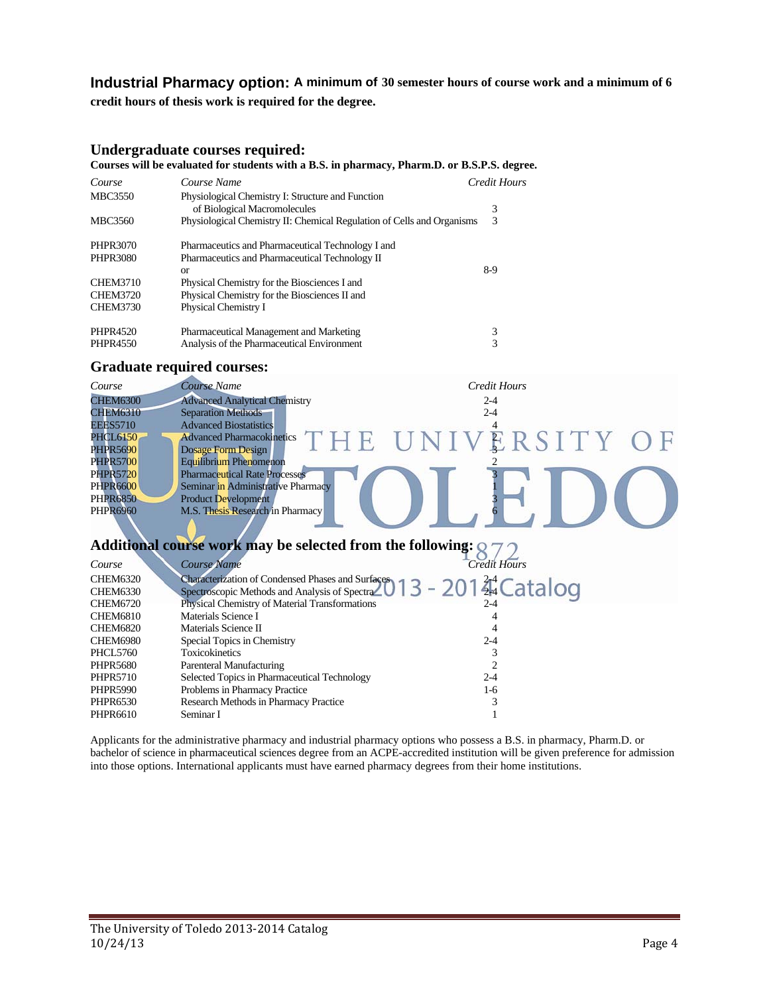### **Industrial Pharmacy option: A minimum of 30 semester hours of course work and a minimum of 6**

**credit hours of thesis work is required for the degree.**

### **Undergraduate courses required:**

#### **Courses will be evaluated for students with a B.S. in pharmacy, Pharm.D. or B.S.P.S. degree.**

| Course          | Course Name                                                            | Credit Hours |
|-----------------|------------------------------------------------------------------------|--------------|
| <b>MBC3550</b>  | Physiological Chemistry I: Structure and Function                      |              |
|                 | of Biological Macromolecules                                           | 3            |
| <b>MBC3560</b>  | Physiological Chemistry II: Chemical Regulation of Cells and Organisms | 3            |
| <b>PHPR3070</b> | Pharmaceutics and Pharmaceutical Technology I and                      |              |
| <b>PHPR3080</b> | Pharmaceutics and Pharmaceutical Technology II                         |              |
|                 | or                                                                     | 8-9          |
| <b>CHEM3710</b> | Physical Chemistry for the Biosciences I and                           |              |
| <b>CHEM3720</b> | Physical Chemistry for the Biosciences II and                          |              |
| <b>CHEM3730</b> | Physical Chemistry I                                                   |              |
| PHPR4520        | Pharmaceutical Management and Marketing                                | 3            |
| <b>PHPR4550</b> | Analysis of the Pharmaceutical Environment                             | 3            |

### **Graduate required courses:**

| Course          | Course Name                                                                   | Credit Hours        |
|-----------------|-------------------------------------------------------------------------------|---------------------|
| <b>CHEM6300</b> | <b>Advanced Analytical Chemistry</b>                                          | $2 - 4$             |
| <b>CHEM6310</b> | <b>Separation Methods</b>                                                     | $2 - 4$             |
| <b>EEES5710</b> | <b>Advanced Biostatistics</b>                                                 |                     |
| <b>PHCL6150</b> | <b>Advanced Pharmacokinetics</b>                                              | THE UNIVERSITY OF   |
| <b>PHPR5690</b> | Dosage Form Design                                                            |                     |
| <b>PHPR5700</b> | Equilibrium Phenomenon                                                        |                     |
| <b>PHPR5720</b> | <b>Pharmaceutical Rate Processes</b>                                          |                     |
| <b>PHPR6600</b> | Seminar in Administrative Pharmacy                                            |                     |
| <b>PHPR6850</b> | <b>Product Development</b>                                                    |                     |
| <b>PHPR6960</b> | M.S. Thesis Research in Pharmacy                                              |                     |
|                 |                                                                               |                     |
|                 |                                                                               |                     |
|                 | Additional course work may be selected from the following: $Q$                |                     |
| Course          | <b>Course Name</b>                                                            | <b>Credit Hours</b> |
| <b>CHEM6320</b> |                                                                               |                     |
| <b>CHEM6330</b> | Characterization of Condensed Phases and Surface 0 1 3 - 201 $3^{44}$ Catalog |                     |
| <b>CHEM6720</b> | Physical Chemistry of Material Transformations                                | 2-4                 |
| <b>CHEM6810</b> | Materials Science I                                                           |                     |
| <b>CHEM6820</b> | Materials Science II                                                          |                     |
| <b>CHEM6980</b> | Special Topics in Chemistry                                                   | $2 - 4$             |
| <b>PHCL5760</b> | <b>Toxicokinetics</b>                                                         | 3                   |
| <b>PHPR5680</b> | Parenteral Manufacturing                                                      |                     |
| <b>PHPR5710</b> | Selected Topics in Pharmaceutical Technology                                  | $2 - 4$             |
| <b>PHPR5990</b> | Problems in Pharmacy Practice                                                 | $1-6$               |
| PHPR6530        | Research Methods in Pharmacy Practice                                         | 3                   |
| PHPR6610        | Seminar I                                                                     |                     |

Applicants for the administrative pharmacy and industrial pharmacy options who possess a B.S. in pharmacy, Pharm.D. or bachelor of science in pharmaceutical sciences degree from an ACPE-accredited institution will be given preference for admission into those options. International applicants must have earned pharmacy degrees from their home institutions.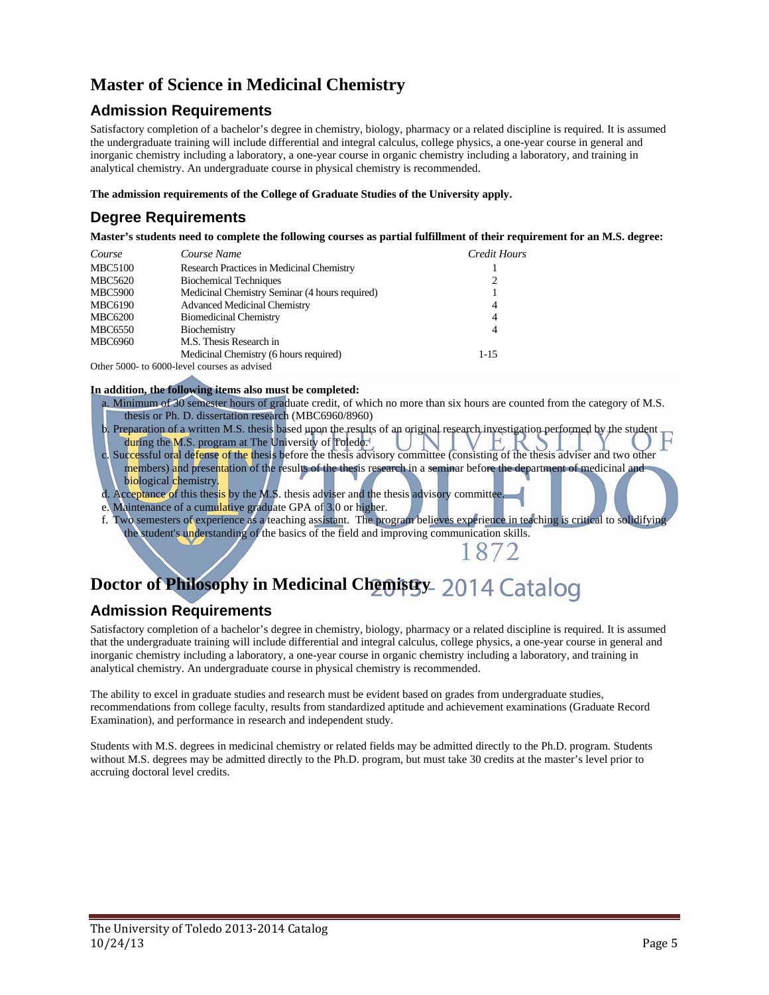## **Master of Science in Medicinal Chemistry**

## **Admission Requirements**

Satisfactory completion of a bachelor's degree in chemistry, biology, pharmacy or a related discipline is required. It is assumed the undergraduate training will include differential and integral calculus, college physics, a one-year course in general and inorganic chemistry including a laboratory, a one-year course in organic chemistry including a laboratory, and training in analytical chemistry. An undergraduate course in physical chemistry is recommended.

**The admission requirements of the College of Graduate Studies of the University apply.** 

## **Degree Requirements**

**Master's students need to complete the following courses as partial fulfillment of their requirement for an M.S. degree:** 

| Course         | Course Name                                    | Credit Hours   |
|----------------|------------------------------------------------|----------------|
| <b>MBC5100</b> | Research Practices in Medicinal Chemistry      |                |
| MBC5620        | <b>Biochemical Techniques</b>                  | 2              |
| <b>MBC5900</b> | Medicinal Chemistry Seminar (4 hours required) |                |
| <b>MBC6190</b> | <b>Advanced Medicinal Chemistry</b>            | $\overline{4}$ |
| <b>MBC6200</b> | <b>Biomedicinal Chemistry</b>                  | 4              |
| <b>MBC6550</b> | Biochemistry                                   | $\overline{4}$ |
| <b>MBC6960</b> | M.S. Thesis Research in                        |                |
|                | Medicinal Chemistry (6 hours required)         | $1 - 15$       |
| $\sim$         |                                                |                |

Other 5000- to 6000-level courses as advised

#### **In addition, the following items also must be completed:**

- a. Minimum of 30 semester hours of graduate credit, of which no more than six hours are counted from the category of M.S. thesis or Ph. D. dissertation research (MBC6960/8960)
- b. Preparation of a written M.S. thesis based upon the results of an original research investigation performed by the student during the M.S. program at The University of Toledo.
- c. Successful oral defense of the thesis before the thesis advisory committee (consisting of the thesis adviser and two other members) and presentation of the results of the thesis research in a seminar before the department of medicinal and biological chemistry.
- d. Acceptance of this thesis by the M.S. thesis adviser and the thesis advisory committee.
- e. Maintenance of a cumulative graduate GPA of 3.0 or higher.
- f. Two semesters of experience as a teaching assistant. The program believes experience in teaching is critical to solidifying the student's understanding of the basics of the field and improving communication skills. 1872

# **Doctor of Philosophy in Medicinal Chemistry 2014 Catalog**

## **Admission Requirements**

Satisfactory completion of a bachelor's degree in chemistry, biology, pharmacy or a related discipline is required. It is assumed that the undergraduate training will include differential and integral calculus, college physics, a one-year course in general and inorganic chemistry including a laboratory, a one-year course in organic chemistry including a laboratory, and training in analytical chemistry. An undergraduate course in physical chemistry is recommended.

The ability to excel in graduate studies and research must be evident based on grades from undergraduate studies, recommendations from college faculty, results from standardized aptitude and achievement examinations (Graduate Record Examination), and performance in research and independent study.

Students with M.S. degrees in medicinal chemistry or related fields may be admitted directly to the Ph.D. program. Students without M.S. degrees may be admitted directly to the Ph.D. program, but must take 30 credits at the master's level prior to accruing doctoral level credits.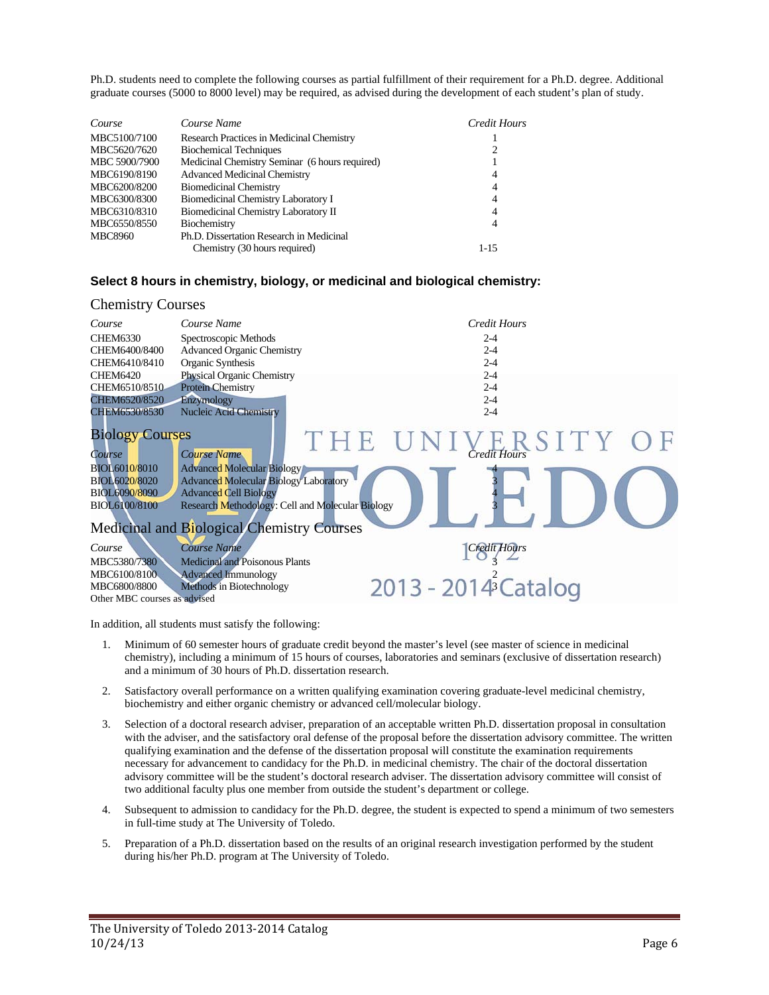Ph.D. students need to complete the following courses as partial fulfillment of their requirement for a Ph.D. degree. Additional graduate courses (5000 to 8000 level) may be required, as advised during the development of each student's plan of study.

| Course         | Course Name                                    | Credit Hours   |
|----------------|------------------------------------------------|----------------|
| MBC5100/7100   | Research Practices in Medicinal Chemistry      |                |
| MBC5620/7620   | <b>Biochemical Techniques</b>                  |                |
| MBC 5900/7900  | Medicinal Chemistry Seminar (6 hours required) |                |
| MBC6190/8190   | <b>Advanced Medicinal Chemistry</b>            | 4              |
| MBC6200/8200   | <b>Biomedicinal Chemistry</b>                  | $\overline{4}$ |
| MBC6300/8300   | Biomedicinal Chemistry Laboratory I            | 4              |
| MBC6310/8310   | Biomedicinal Chemistry Laboratory II           | 4              |
| MBC6550/8550   | Biochemistry                                   | 4              |
| <b>MBC8960</b> | Ph.D. Dissertation Research in Medicinal       |                |
|                | Chemistry (30 hours required)                  | $1 - 15$       |

### **Select 8 hours in chemistry, biology, or medicinal and biological chemistry:**

| <b>Chemistry Courses</b>                                                                                    |                                                                                                                                                                                                                                           |                                  |
|-------------------------------------------------------------------------------------------------------------|-------------------------------------------------------------------------------------------------------------------------------------------------------------------------------------------------------------------------------------------|----------------------------------|
| Course                                                                                                      | Course Name                                                                                                                                                                                                                               | <b>Credit Hours</b>              |
| <b>CHEM6330</b>                                                                                             | Spectroscopic Methods                                                                                                                                                                                                                     | $2 - 4$                          |
| CHEM6400/8400                                                                                               | <b>Advanced Organic Chemistry</b>                                                                                                                                                                                                         | $2 - 4$                          |
| CHEM6410/8410                                                                                               | Organic Synthesis                                                                                                                                                                                                                         | $2 - 4$                          |
| <b>CHEM6420</b>                                                                                             | Physical Organic Chemistry                                                                                                                                                                                                                | $2 - 4$                          |
| CHEM6510/8510                                                                                               | <b>Protein Chemistry</b>                                                                                                                                                                                                                  | $2 - 4$                          |
| CHEM6520/8520                                                                                               | Enzymology                                                                                                                                                                                                                                | $2 - 4$                          |
| CHEM6530/8530                                                                                               | <b>Nucleic Acid Chemistry</b>                                                                                                                                                                                                             | $2 - 4$                          |
| <b>Biology Courses</b><br>Course<br>BIOL6010/8010<br>BIOL6020/8020<br>BIOL6090/8090<br><b>BIOL6100/8100</b> | <b>Course Name</b><br><b>Advanced Molecular Biology</b><br><b>Advanced Molecular Biology Laboratory</b><br><b>Advanced Cell Biology</b><br>Research Methodology: Cell and Molecular Biology<br>Medicinal and Biological Chemistry Courses | THE UNIVERSITY OF                |
| Course                                                                                                      | Course Name                                                                                                                                                                                                                               | <b>Credit Hours</b>              |
| MBC5380/7380                                                                                                | <b>Medicinal and Poisonous Plants</b>                                                                                                                                                                                                     |                                  |
| MBC6100/8100                                                                                                | <b>Advanced Immunology</b>                                                                                                                                                                                                                |                                  |
| MBC6800/8800                                                                                                | Methods in Biotechnology                                                                                                                                                                                                                  | 2013 - 2014 <sup>2</sup> Catalog |
| Other MBC courses as advised                                                                                |                                                                                                                                                                                                                                           |                                  |

In addition, all students must satisfy the following:

- 1. Minimum of 60 semester hours of graduate credit beyond the master's level (see master of science in medicinal chemistry), including a minimum of 15 hours of courses, laboratories and seminars (exclusive of dissertation research) and a minimum of 30 hours of Ph.D. dissertation research.
- 2. Satisfactory overall performance on a written qualifying examination covering graduate-level medicinal chemistry, biochemistry and either organic chemistry or advanced cell/molecular biology.
- 3. Selection of a doctoral research adviser, preparation of an acceptable written Ph.D. dissertation proposal in consultation with the adviser, and the satisfactory oral defense of the proposal before the dissertation advisory committee. The written qualifying examination and the defense of the dissertation proposal will constitute the examination requirements necessary for advancement to candidacy for the Ph.D. in medicinal chemistry. The chair of the doctoral dissertation advisory committee will be the student's doctoral research adviser. The dissertation advisory committee will consist of two additional faculty plus one member from outside the student's department or college.
- 4. Subsequent to admission to candidacy for the Ph.D. degree, the student is expected to spend a minimum of two semesters in full-time study at The University of Toledo.
- 5. Preparation of a Ph.D. dissertation based on the results of an original research investigation performed by the student during his/her Ph.D. program at The University of Toledo.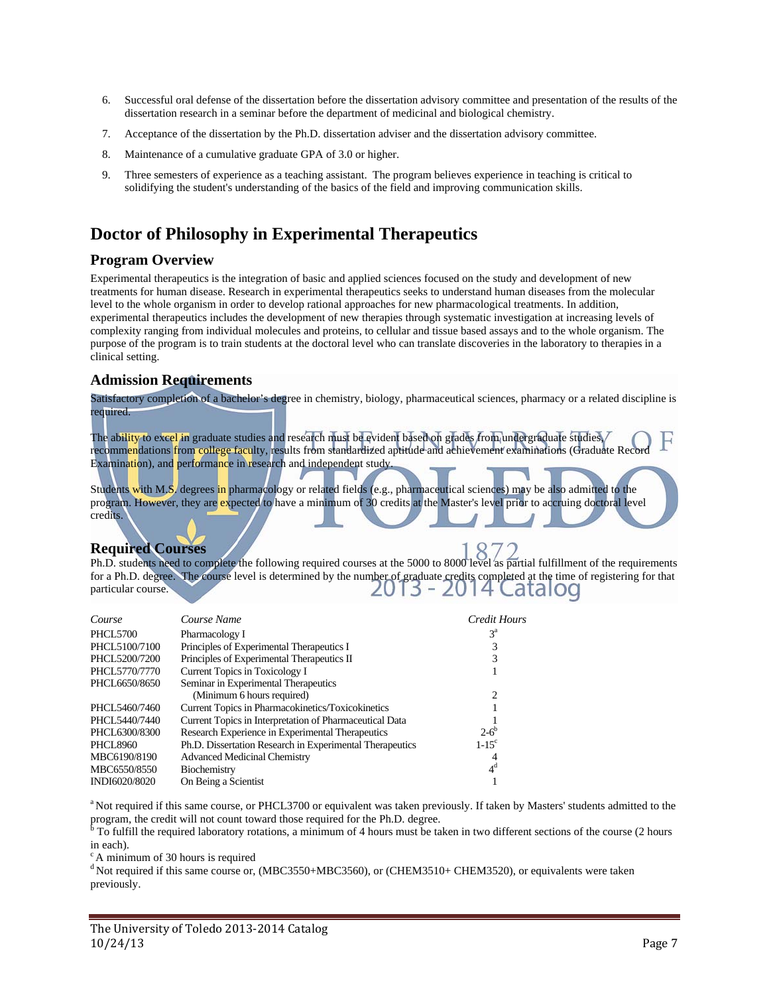- 6. Successful oral defense of the dissertation before the dissertation advisory committee and presentation of the results of the dissertation research in a seminar before the department of medicinal and biological chemistry.
- 7. Acceptance of the dissertation by the Ph.D. dissertation adviser and the dissertation advisory committee.
- 8. Maintenance of a cumulative graduate GPA of 3.0 or higher.
- 9. Three semesters of experience as a teaching assistant. The program believes experience in teaching is critical to solidifying the student's understanding of the basics of the field and improving communication skills.

## **Doctor of Philosophy in Experimental Therapeutics**

### **Program Overview**

Experimental therapeutics is the integration of basic and applied sciences focused on the study and development of new treatments for human disease. Research in experimental therapeutics seeks to understand human diseases from the molecular level to the whole organism in order to develop rational approaches for new pharmacological treatments. In addition, experimental therapeutics includes the development of new therapies through systematic investigation at increasing levels of complexity ranging from individual molecules and proteins, to cellular and tissue based assays and to the whole organism. The purpose of the program is to train students at the doctoral level who can translate discoveries in the laboratory to therapies in a clinical setting.

### **Admission Requirements**

Satisfactory completion of a bachelor's degree in chemistry, biology, pharmaceutical sciences, pharmacy or a related discipline is required.

The ability to excel in graduate studies and research must be evident based on grades from undergraduate studies, recommendations from college faculty, results from standardized aptitude and achievement examinations (Graduate Reco Examination), and performance in research and independent study.

Students with M.S. degrees in pharmacology or related fields (e.g., pharmaceutical sciences) may be also admitted to the program. However, they are expected to have a minimum of 30 credits at the Master's level prior to accruing doctoral level credits.

## **Required Courses**

Ph.D. students need to complete the following required courses at the 5000 to 8000 level as partial fulfillment of the requirements for a Ph.D. degree. The course level is determined by the number of graduate credits completed at the time of registering for that particular course. particular course. 13 atalog

| Course          | Course Name                                              | Credit Hours        |
|-----------------|----------------------------------------------------------|---------------------|
| <b>PHCL5700</b> | Pharmacology I                                           | $3^{\rm a}$         |
| PHCL5100/7100   | Principles of Experimental Therapeutics I                |                     |
| PHCL5200/7200   | Principles of Experimental Therapeutics II               |                     |
| PHCL5770/7770   | Current Topics in Toxicology I                           |                     |
| PHCL6650/8650   | Seminar in Experimental Therapeutics                     |                     |
|                 | (Minimum 6 hours required)                               | 2                   |
| PHCL5460/7460   | Current Topics in Pharmacokinetics/Toxicokinetics        |                     |
| PHCL5440/7440   | Current Topics in Interpretation of Pharmaceutical Data  |                     |
| PHCL6300/8300   | Research Experience in Experimental Therapeutics         | $2 - 6^b$           |
| <b>PHCL8960</b> | Ph.D. Dissertation Research in Experimental Therapeutics | $1-15$ <sup>c</sup> |
| MBC6190/8190    | <b>Advanced Medicinal Chemistry</b>                      | 4                   |
| MBC6550/8550    | Biochemistry                                             | 4 <sup>d</sup>      |
| INDI6020/8020   | On Being a Scientist                                     |                     |

<sup>a</sup> Not required if this same course, or PHCL3700 or equivalent was taken previously. If taken by Masters' students admitted to the

program, the credit will not count toward those required for the Ph.D. degree.<br><sup>b</sup> To fulfill the required laboratory rotations, a minimum of 4 hours must be taken in two different sections of the course (2 hours in each).

 $c$  A minimum of 30 hours is required

<sup>d</sup> Not required if this same course or, (MBC3550+MBC3560), or (CHEM3510+ CHEM3520), or equivalents were taken previously.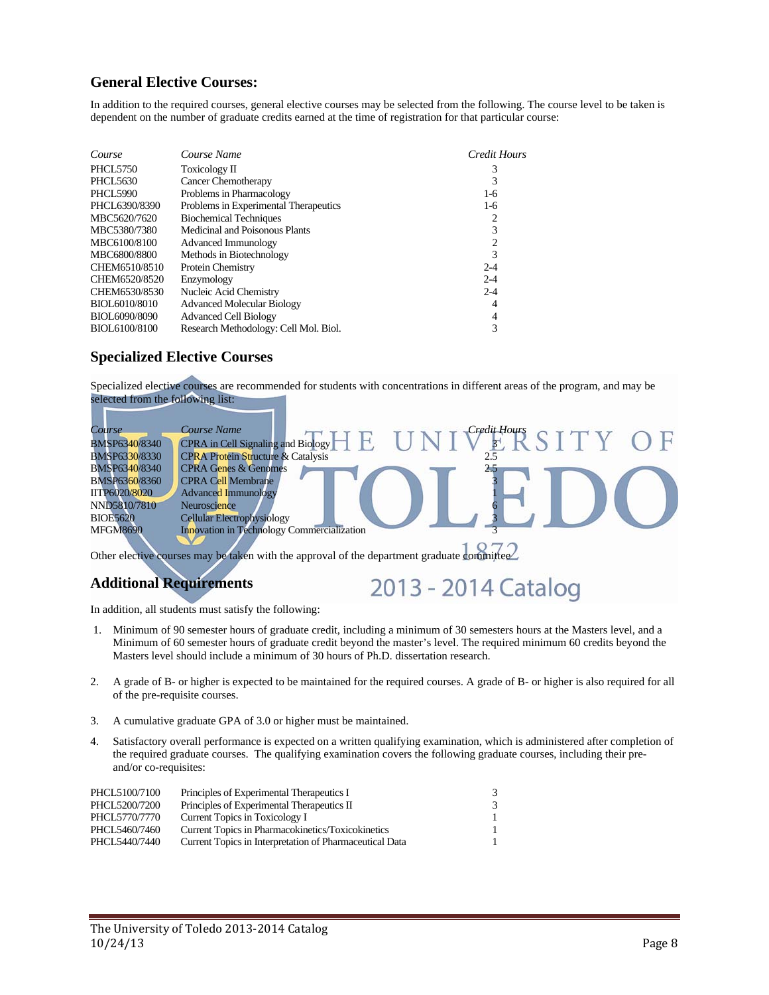## **General Elective Courses:**

In addition to the required courses, general elective courses may be selected from the following. The course level to be taken is dependent on the number of graduate credits earned at the time of registration for that particular course:

| Course          | Course Name                           | Credit Hours |
|-----------------|---------------------------------------|--------------|
| <b>PHCL5750</b> | Toxicology II                         | 3            |
| PHCL5630        | <b>Cancer Chemotherapy</b>            | 3            |
| <b>PHCL5990</b> | Problems in Pharmacology              | $1-6$        |
| PHCL6390/8390   | Problems in Experimental Therapeutics | $1-6$        |
| MBC5620/7620    | <b>Biochemical Techniques</b>         | 2            |
| MBC5380/7380    | Medicinal and Poisonous Plants        | 3            |
| MBC6100/8100    | Advanced Immunology                   | 2            |
| MBC6800/8800    | Methods in Biotechnology              | 3            |
| CHEM6510/8510   | Protein Chemistry                     | $2 - 4$      |
| CHEM6520/8520   | Enzymology                            | $2 - 4$      |
| CHEM6530/8530   | Nucleic Acid Chemistry                | $2 - 4$      |
| BIOL6010/8010   | <b>Advanced Molecular Biology</b>     | 4            |
| BIOL6090/8090   | <b>Advanced Cell Biology</b>          | 4            |
| BIOL6100/8100   | Research Methodology: Cell Mol. Biol. | 3            |

### **Specialized Elective Courses**

Specialized elective courses are recommended for students with concentrations in different areas of the program, and may be selected from the following list:

| Course               | Course Name<br>Credit Hours                   |
|----------------------|-----------------------------------------------|
| BMSP6340/8340        | <b>CPRA</b> in Cell Signaling and Biology     |
| <b>BMSP6330/8330</b> | <b>CPRA Protein Structure &amp; Catalysis</b> |
| BMSP6340/8340        | <b>CPRA Genes &amp; Genomes</b><br>25         |
| <b>BMSP6360/8360</b> | <b>CPRA Cell Membrane</b>                     |
| IITP6020/8020        | <b>Advanced Immunology</b>                    |
| NND5810/7810         | Neuroscience                                  |
| <b>BIOE5620</b>      | <b>Cellular Electrophysiology</b>             |
| <b>MFGM8690</b>      | Innovation in Technology Commercialization    |
|                      | $-1$ $-1$ $-1$ $-1$                           |

Other elective courses may be taken with the approval of the department graduate committee

## **Additional Requirements**

# 2013 - 2014 Catalog

In addition, all students must satisfy the following:

- 1. Minimum of 90 semester hours of graduate credit, including a minimum of 30 semesters hours at the Masters level, and a Minimum of 60 semester hours of graduate credit beyond the master's level. The required minimum 60 credits beyond the Masters level should include a minimum of 30 hours of Ph.D. dissertation research.
- 2. A grade of B- or higher is expected to be maintained for the required courses. A grade of B- or higher is also required for all of the pre-requisite courses.
- 3. A cumulative graduate GPA of 3.0 or higher must be maintained.
- 4. Satisfactory overall performance is expected on a written qualifying examination, which is administered after completion of the required graduate courses. The qualifying examination covers the following graduate courses, including their preand/or co-requisites:

| PHCL5100/7100 | Principles of Experimental Therapeutics I               | $\mathcal{F}$ |
|---------------|---------------------------------------------------------|---------------|
| PHCL5200/7200 | Principles of Experimental Therapeutics II              | $\mathcal{F}$ |
| PHCL5770/7770 | Current Topics in Toxicology I                          | 1             |
| PHCL5460/7460 | Current Topics in Pharmacokinetics/Toxicokinetics       |               |
| PHCL5440/7440 | Current Topics in Interpretation of Pharmaceutical Data |               |